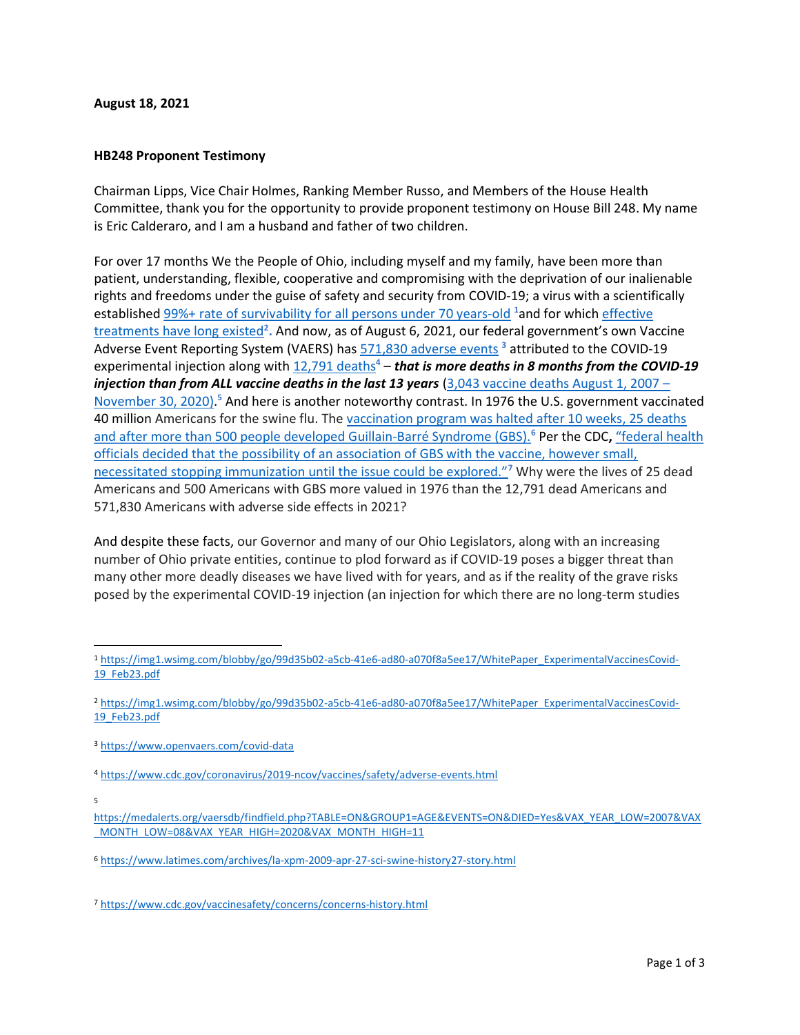## August 18, 2021

## HB248 Proponent Testimony

Chairman Lipps, Vice Chair Holmes, Ranking Member Russo, and Members of the House Health Committee, thank you for the opportunity to provide proponent testimony on House Bill 248. My name is Eric Calderaro, and I am a husband and father of two children.

For over 17 months We the People of Ohio, including myself and my family, have been more than patient, understanding, flexible, cooperative and compromising with the deprivation of our inalienable rights and freedoms under the guise of safety and security from COVID-19; a virus with a scientifically established 99%+ rate of survivability for all persons under 70 years-old  $^{1}$ and for which effective treatments have long existed<sup>2</sup>. And now, as of August 6, 2021, our federal government's own Vaccine Adverse Event Reporting System (VAERS) has **571,830** adverse events <sup>3</sup> attributed to the COVID-19 experimental injection along with  $12,791$  deaths<sup>4</sup> – that is more deaths in 8 months from the COVID-19 injection than from ALL vaccine deaths in the last 13 years (3,043 vaccine deaths August 1, 2007 – November 30, 2020).<sup>5</sup> And here is another noteworthy contrast. In 1976 the U.S. government vaccinated 40 million Americans for the swine flu. The vaccination program was halted after 10 weeks, 25 deaths and after more than 500 people developed Guillain-Barré Syndrome (GBS).<sup>6</sup> Per the CDC, "federal health officials decided that the possibility of an association of GBS with the vaccine, however small, necessitated stopping immunization until the issue could be explored."<sup>7</sup> Why were the lives of 25 dead Americans and 500 Americans with GBS more valued in 1976 than the 12,791 dead Americans and 571,830 Americans with adverse side effects in 2021?

And despite these facts, our Governor and many of our Ohio Legislators, along with an increasing number of Ohio private entities, continue to plod forward as if COVID-19 poses a bigger threat than many other more deadly diseases we have lived with for years, and as if the reality of the grave risks posed by the experimental COVID-19 injection (an injection for which there are no long-term studies

<sup>1</sup> https://img1.wsimg.com/blobby/go/99d35b02-a5cb-41e6-ad80-a070f8a5ee17/WhitePaper\_ExperimentalVaccinesCovid-19\_Feb23.pdf

<sup>2</sup> https://img1.wsimg.com/blobby/go/99d35b02-a5cb-41e6-ad80-a070f8a5ee17/WhitePaper\_ExperimentalVaccinesCovid-19\_Feb23.pdf

<sup>3</sup> https://www.openvaers.com/covid-data

<sup>4</sup> https://www.cdc.gov/coronavirus/2019-ncov/vaccines/safety/adverse-events.html

<sup>5</sup>

https://medalerts.org/vaersdb/findfield.php?TABLE=ON&GROUP1=AGE&EVENTS=ON&DIED=Yes&VAX\_YEAR\_LOW=2007&VAX MONTH\_LOW=08&VAX\_YEAR\_HIGH=2020&VAX\_MONTH\_HIGH=11

<sup>6</sup> https://www.latimes.com/archives/la-xpm-2009-apr-27-sci-swine-history27-story.html

<sup>7</sup> https://www.cdc.gov/vaccinesafety/concerns/concerns-history.html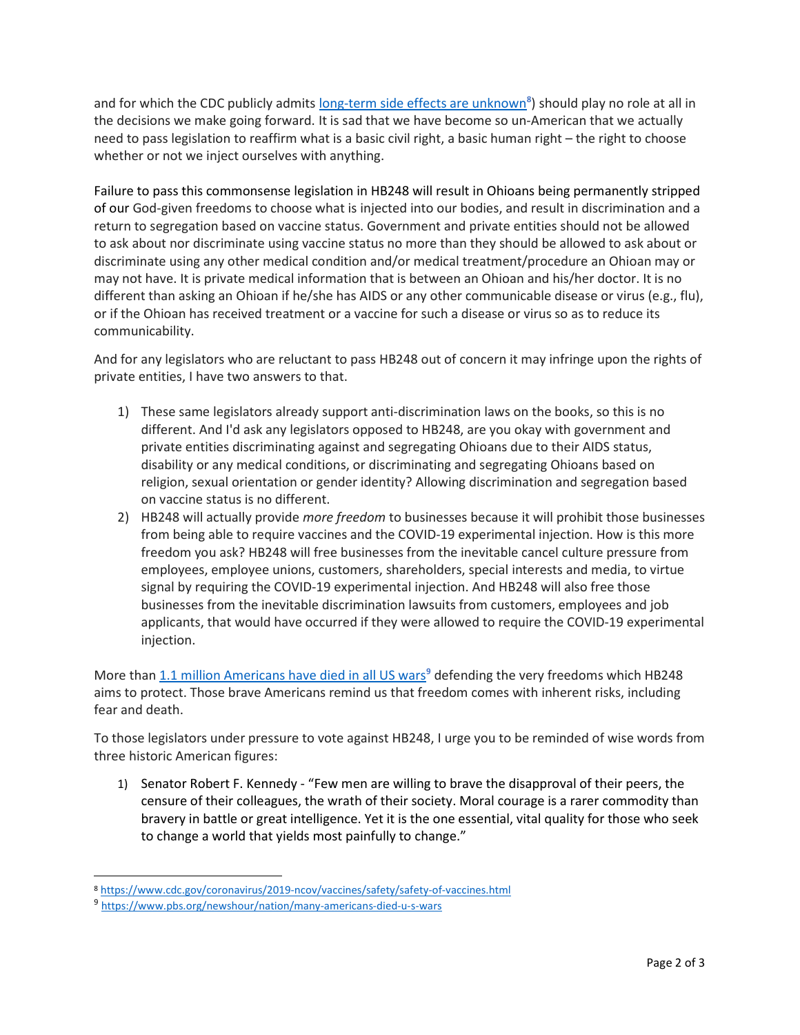and for which the CDC publicly admits long-term side effects are unknown<sup>8</sup>) should play no role at all in the decisions we make going forward. It is sad that we have become so un-American that we actually need to pass legislation to reaffirm what is a basic civil right, a basic human right – the right to choose whether or not we inject ourselves with anything.

Failure to pass this commonsense legislation in HB248 will result in Ohioans being permanently stripped of our God-given freedoms to choose what is injected into our bodies, and result in discrimination and a return to segregation based on vaccine status. Government and private entities should not be allowed to ask about nor discriminate using vaccine status no more than they should be allowed to ask about or discriminate using any other medical condition and/or medical treatment/procedure an Ohioan may or may not have. It is private medical information that is between an Ohioan and his/her doctor. It is no different than asking an Ohioan if he/she has AIDS or any other communicable disease or virus (e.g., flu), or if the Ohioan has received treatment or a vaccine for such a disease or virus so as to reduce its communicability.

And for any legislators who are reluctant to pass HB248 out of concern it may infringe upon the rights of private entities, I have two answers to that.

- 1) These same legislators already support anti-discrimination laws on the books, so this is no different. And I'd ask any legislators opposed to HB248, are you okay with government and private entities discriminating against and segregating Ohioans due to their AIDS status, disability or any medical conditions, or discriminating and segregating Ohioans based on religion, sexual orientation or gender identity? Allowing discrimination and segregation based on vaccine status is no different.
- 2) HB248 will actually provide more freedom to businesses because it will prohibit those businesses from being able to require vaccines and the COVID-19 experimental injection. How is this more freedom you ask? HB248 will free businesses from the inevitable cancel culture pressure from employees, employee unions, customers, shareholders, special interests and media, to virtue signal by requiring the COVID-19 experimental injection. And HB248 will also free those businesses from the inevitable discrimination lawsuits from customers, employees and job applicants, that would have occurred if they were allowed to require the COVID-19 experimental injection.

More than 1.1 million Americans have died in all US wars<sup>9</sup> defending the very freedoms which HB248 aims to protect. Those brave Americans remind us that freedom comes with inherent risks, including fear and death.

To those legislators under pressure to vote against HB248, I urge you to be reminded of wise words from three historic American figures:

1) Senator Robert F. Kennedy - "Few men are willing to brave the disapproval of their peers, the censure of their colleagues, the wrath of their society. Moral courage is a rarer commodity than bravery in battle or great intelligence. Yet it is the one essential, vital quality for those who seek to change a world that yields most painfully to change."

<sup>8</sup> https://www.cdc.gov/coronavirus/2019-ncov/vaccines/safety/safety-of-vaccines.html

<sup>9</sup> https://www.pbs.org/newshour/nation/many-americans-died-u-s-wars